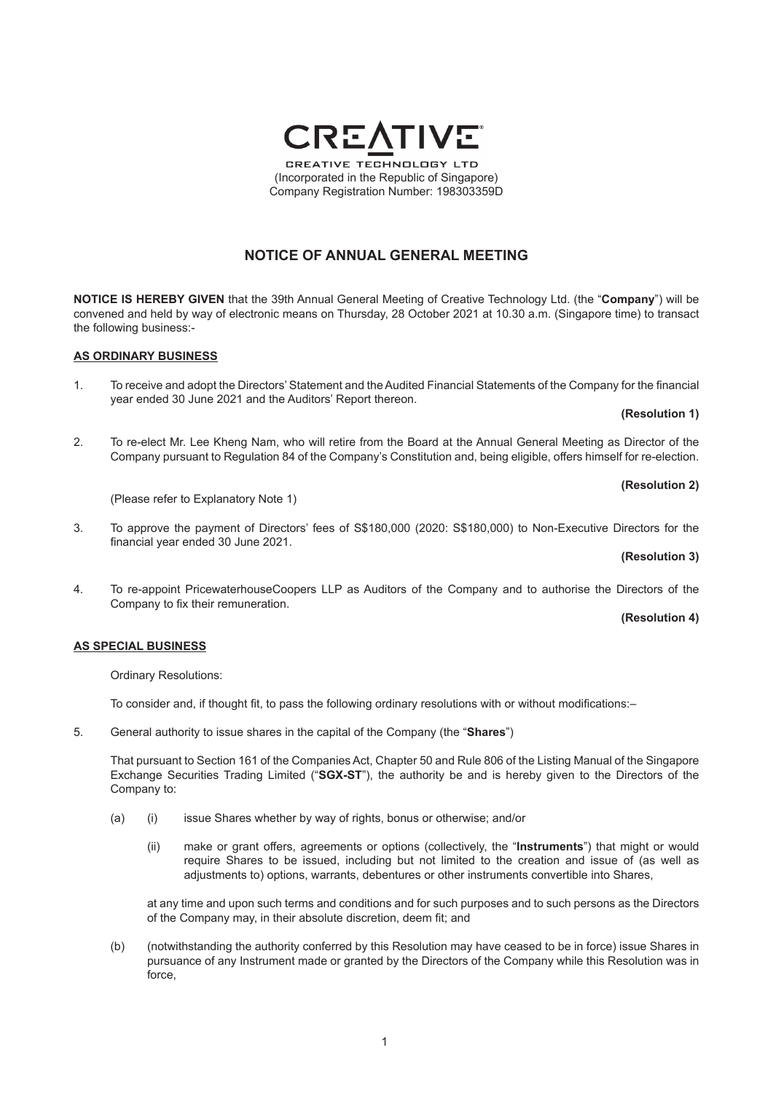### **NOTICE OF ANNUAL GENERAL MEETING**

**NOTICE IS HEREBY GIVEN** that the 39th Annual General Meeting of Creative Technology Ltd. (the "**Company**") will be convened and held by way of electronic means on Thursday, 28 October 2021 at 10.30 a.m. (Singapore time) to transact the following business:-

#### **AS ORDINARY BUSINESS**

- 1. To receive and adopt the Directors' Statement and the Audited Financial Statements of the Company for the financial year ended 30 June 2021 and the Auditors' Report thereon.
- 2. To re-elect Mr. Lee Kheng Nam, who will retire from the Board at the Annual General Meeting as Director of the Company pursuant to Regulation 84 of the Company's Constitution and, being eligible, offers himself for re-election.

(Please refer to Explanatory Note 1)

3. To approve the payment of Directors' fees of S\$180,000 (2020: S\$180,000) to Non-Executive Directors for the financial year ended 30 June 2021.

#### **(Resolution 3)**

4. To re-appoint PricewaterhouseCoopers LLP as Auditors of the Company and to authorise the Directors of the Company to fix their remuneration.

#### **(Resolution 4)**

#### **AS SPECIAL BUSINESS**

Ordinary Resolutions:

 To consider and, if thought fit, to pass the following ordinary resolutions with or without modifications:–

5. General authority to issue shares in the capital of the Company (the "**Shares**")

That pursuant to Section 161 of the Companies Act, Chapter 50 and Rule 806 of the Listing Manual of the Singapore Exchange Securities Trading Limited ("**SGX-ST**"), the authority be and is hereby given to the Directors of the Company to:

- (a) (i) issue Shares whether by way of rights, bonus or otherwise; and/or
	- (ii) make or grant offers, agreements or options (collectively, the "**Instruments**") that might or would require Shares to be issued, including but not limited to the creation and issue of (as well as adjustments to) options, warrants, debentures or other instruments convertible into Shares,

at any time and upon such terms and conditions and for such purposes and to such persons as the Directors of the Company may, in their absolute discretion, deem fit; and

(b) (notwithstanding the authority conferred by this Resolution may have ceased to be in force) issue Shares in pursuance of any Instrument made or granted by the Directors of the Company while this Resolution was in force,

**CREATIVE TECHNOLOGY LTD** (Incorporated in the Republic of Singapore) Company Registration Number: 198303359D



# **(Resolution 2)**

**(Resolution 1)**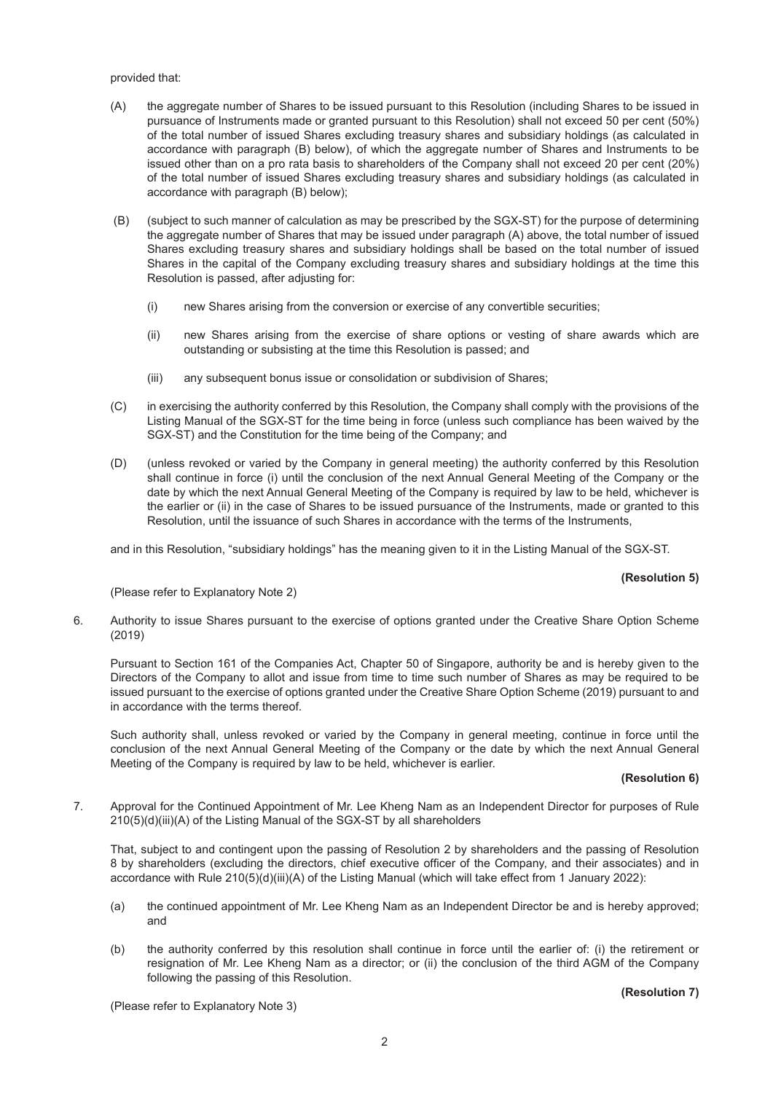provided that:

- (A) the aggregate number of Shares to be issued pursuant to this Resolution (including Shares to be issued in pursuance of Instruments made or granted pursuant to this Resolution) shall not exceed 50 per cent (50%) of the total number of issued Shares excluding treasury shares and subsidiary holdings (as calculated in accordance with paragraph (B) below), of which the aggregate number of Shares and Instruments to be issued other than on a pro rata basis to shareholders of the Company shall not exceed 20 per cent (20%) of the total number of issued Shares excluding treasury shares and subsidiary holdings (as calculated in accordance with paragraph (B) below);
- (B) (subject to such manner of calculation as may be prescribed by the SGX-ST) for the purpose of determining the aggregate number of Shares that may be issued under paragraph (A) above, the total number of issued Shares excluding treasury shares and subsidiary holdings shall be based on the total number of issued Shares in the capital of the Company excluding treasury shares and subsidiary holdings at the time this Resolution is passed, after adjusting for:
	- (i) new Shares arising from the conversion or exercise of any convertible securities;
	- (ii) new Shares arising from the exercise of share options or vesting of share awards which are outstanding or subsisting at the time this Resolution is passed; and
	- (iii) any subsequent bonus issue or consolidation or subdivision of Shares;
- (C) in exercising the authority conferred by this Resolution, the Company shall comply with the provisions of the Listing Manual of the SGX-ST for the time being in force (unless such compliance has been waived by the SGX-ST) and the Constitution for the time being of the Company; and
- (D) (unless revoked or varied by the Company in general meeting) the authority conferred by this Resolution shall continue in force (i) until the conclusion of the next Annual General Meeting of the Company or the date by which the next Annual General Meeting of the Company is required by law to be held, whichever is the earlier or (ii) in the case of Shares to be issued pursuance of the Instruments, made or granted to this Resolution, until the issuance of such Shares in accordance with the terms of the Instruments,

and in this Resolution, "subsidiary holdings" has the meaning given to it in the Listing Manual of the SGX-ST.

#### **(Resolution 5)**

(Please refer to Explanatory Note 2)

6. Authority to issue Shares pursuant to the exercise of options granted under the Creative Share Option Scheme (2019)

Pursuant to Section 161 of the Companies Act, Chapter 50 of Singapore, authority be and is hereby given to the Directors of the Company to allot and issue from time to time such number of Shares as may be required to be issued pursuant to the exercise of options granted under the Creative Share Option Scheme (2019) pursuant to and in accordance with the terms thereof.

Such authority shall, unless revoked or varied by the Company in general meeting, continue in force until the conclusion of the next Annual General Meeting of the Company or the date by which the next Annual General Meeting of the Company is required by law to be held, whichever is earlier.

#### **(Resolution 6)**

7. Approval for the Continued Appointment of Mr. Lee Kheng Nam as an Independent Director for purposes of Rule 210(5)(d)(iii)(A) of the Listing Manual of the SGX-ST by all shareholders

That, subject to and contingent upon the passing of Resolution 2 by shareholders and the passing of Resolution 8 by shareholders (excluding the directors, chief executive officer of the Company, and their associates) and in accordance with Rule 210(5)(d)(iii)(A) of the Listing Manual (which will take effect from 1 January 2022):

- (a) the continued appointment of Mr. Lee Kheng Nam as an Independent Director be and is hereby approved; and
- (b) the authority conferred by this resolution shall continue in force until the earlier of: (i) the retirement or resignation of Mr. Lee Kheng Nam as a director; or (ii) the conclusion of the third AGM of the Company following the passing of this Resolution.

**(Resolution 7)**

(Please refer to Explanatory Note 3)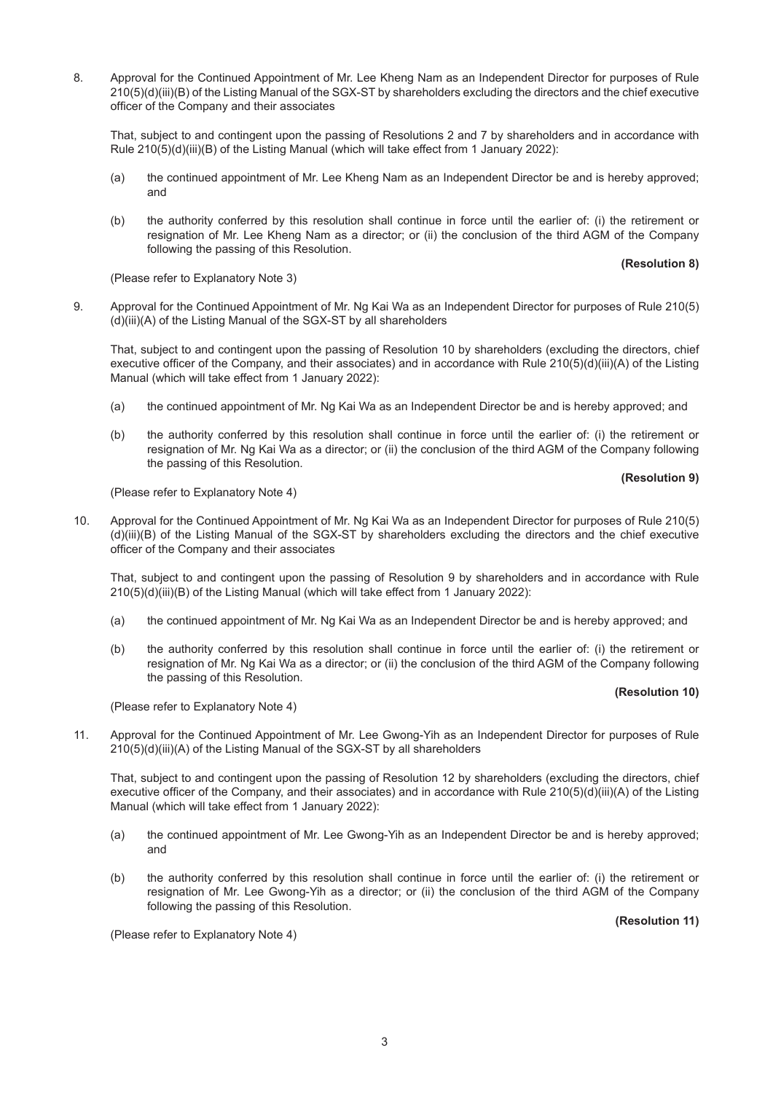8. Approval for the Continued Appointment of Mr. Lee Kheng Nam as an Independent Director for purposes of Rule 210(5)(d)(iii)(B) of the Listing Manual of the SGX-ST by shareholders excluding the directors and the chief executive officer of the Company and their associates

That, subject to and contingent upon the passing of Resolutions 2 and 7 by shareholders and in accordance with Rule 210(5)(d)(iii)(B) of the Listing Manual (which will take effect from 1 January 2022):

- (a) the continued appointment of Mr. Lee Kheng Nam as an Independent Director be and is hereby approved; and
- (b) the authority conferred by this resolution shall continue in force until the earlier of: (i) the retirement or resignation of Mr. Lee Kheng Nam as a director; or (ii) the conclusion of the third AGM of the Company following the passing of this Resolution.

**(Resolution 8)**

(Please refer to Explanatory Note 3)

9. Approval for the Continued Appointment of Mr. Ng Kai Wa as an Independent Director for purposes of Rule 210(5) (d)(iii)(A) of the Listing Manual of the SGX-ST by all shareholders

That, subject to and contingent upon the passing of Resolution 10 by shareholders (excluding the directors, chief executive officer of the Company, and their associates) and in accordance with Rule 210(5)(d)(iii)(A) of the Listing Manual (which will take effect from 1 January 2022):

- (a) the continued appointment of Mr. Ng Kai Wa as an Independent Director be and is hereby approved; and
- (b) the authority conferred by this resolution shall continue in force until the earlier of: (i) the retirement or resignation of Mr. Ng Kai Wa as a director; or (ii) the conclusion of the third AGM of the Company following the passing of this Resolution.

#### **(Resolution 9)**

(Please refer to Explanatory Note 4)

10. Approval for the Continued Appointment of Mr. Ng Kai Wa as an Independent Director for purposes of Rule 210(5) (d)(iii)(B) of the Listing Manual of the SGX-ST by shareholders excluding the directors and the chief executive officer of the Company and their associates

That, subject to and contingent upon the passing of Resolution 9 by shareholders and in accordance with Rule 210(5)(d)(iii)(B) of the Listing Manual (which will take effect from 1 January 2022):

- (a) the continued appointment of Mr. Ng Kai Wa as an Independent Director be and is hereby approved; and
- (b) the authority conferred by this resolution shall continue in force until the earlier of: (i) the retirement or resignation of Mr. Ng Kai Wa as a director; or (ii) the conclusion of the third AGM of the Company following the passing of this Resolution.

#### **(Resolution 10)**

(Please refer to Explanatory Note 4)

11. Approval for the Continued Appointment of Mr. Lee Gwong-Yih as an Independent Director for purposes of Rule 210(5)(d)(iii)(A) of the Listing Manual of the SGX-ST by all shareholders

That, subject to and contingent upon the passing of Resolution 12 by shareholders (excluding the directors, chief executive officer of the Company, and their associates) and in accordance with Rule 210(5)(d)(iii)(A) of the Listing Manual (which will take effect from 1 January 2022):

- (a) the continued appointment of Mr. Lee Gwong-Yih as an Independent Director be and is hereby approved; and
- (b) the authority conferred by this resolution shall continue in force until the earlier of: (i) the retirement or resignation of Mr. Lee Gwong-Yih as a director; or (ii) the conclusion of the third AGM of the Company following the passing of this Resolution.

**(Resolution 11)**

(Please refer to Explanatory Note 4)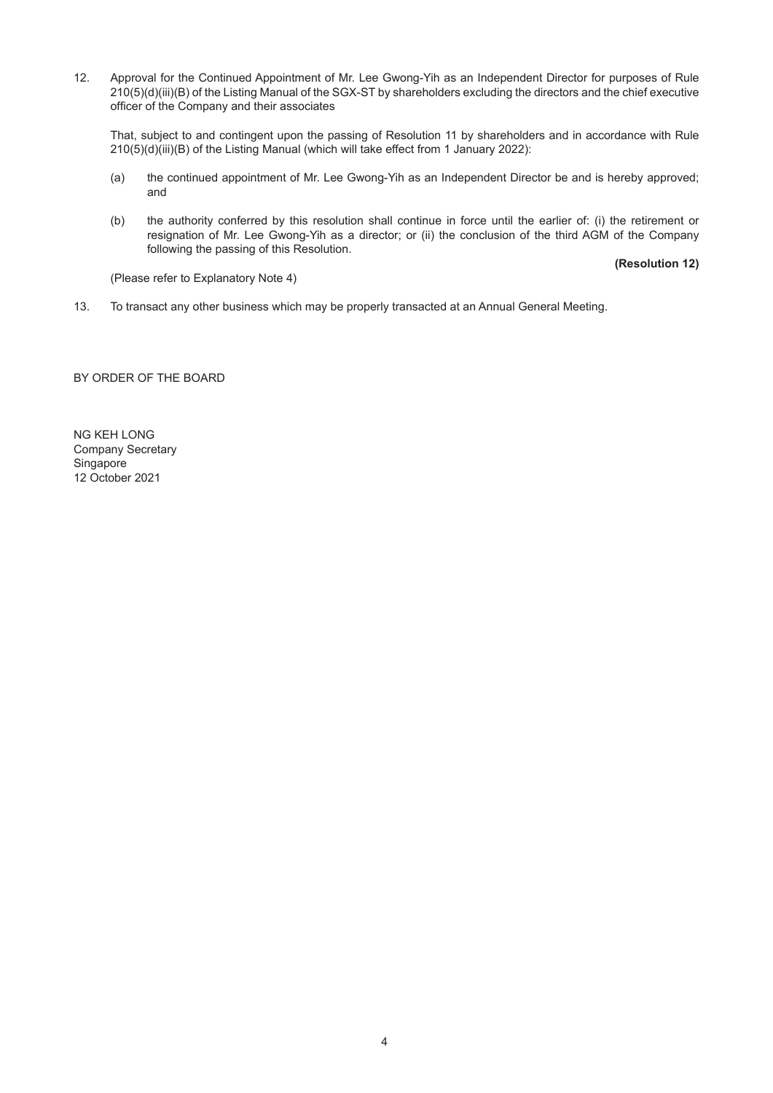12. Approval for the Continued Appointment of Mr. Lee Gwong-Yih as an Independent Director for purposes of Rule 210(5)(d)(iii)(B) of the Listing Manual of the SGX-ST by shareholders excluding the directors and the chief executive officer of the Company and their associates

That, subject to and contingent upon the passing of Resolution 11 by shareholders and in accordance with Rule 210(5)(d)(iii)(B) of the Listing Manual (which will take effect from 1 January 2022):

- (a) the continued appointment of Mr. Lee Gwong-Yih as an Independent Director be and is hereby approved; and
- (b) the authority conferred by this resolution shall continue in force until the earlier of: (i) the retirement or resignation of Mr. Lee Gwong-Yih as a director; or (ii) the conclusion of the third AGM of the Company following the passing of this Resolution.

**(Resolution 12)**

(Please refer to Explanatory Note 4)

13. To transact any other business which may be properly transacted at an Annual General Meeting.

BY ORDER OF THE BOARD

NG KEH LONG Company Secretary Singapore 12 October 2021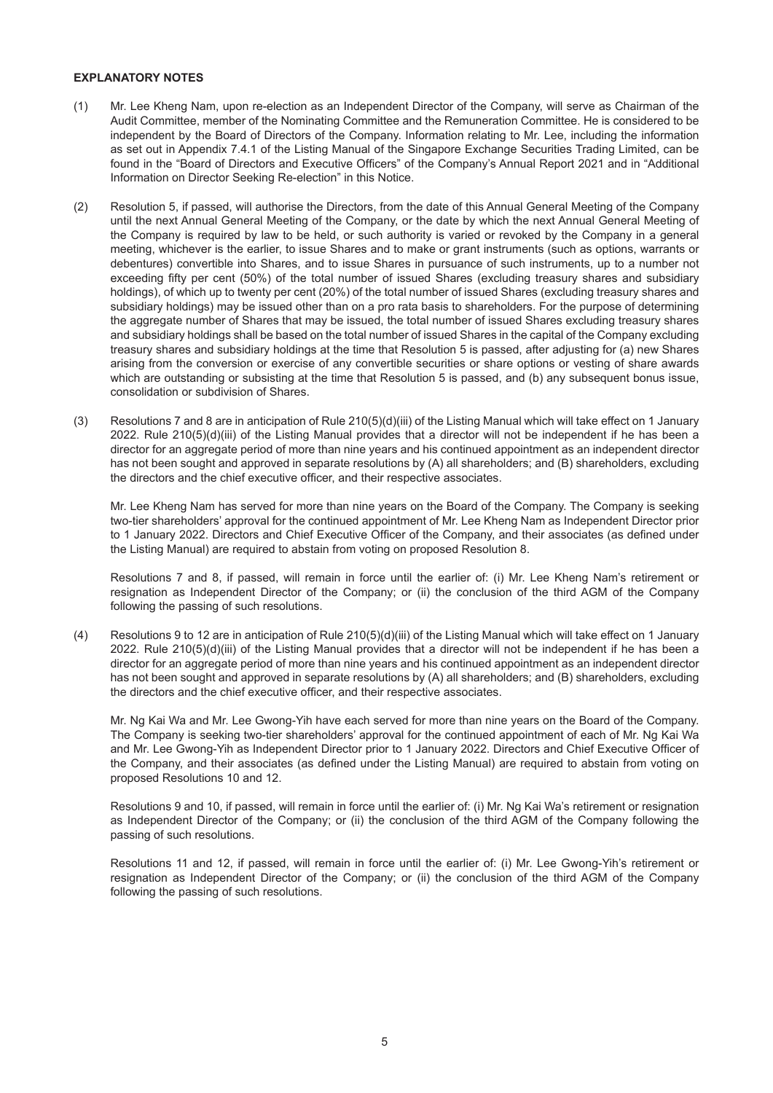#### **EXPLANATORY NOTES**

- (1) Mr. Lee Kheng Nam, upon re-election as an Independent Director of the Company, will serve as Chairman of the Audit Committee, member of the Nominating Committee and the Remuneration Committee. He is considered to be independent by the Board of Directors of the Company. Information relating to Mr. Lee, including the information as set out in Appendix 7.4.1 of the Listing Manual of the Singapore Exchange Securities Trading Limited, can be found in the "Board of Directors and Executive Officers" of the Company's Annual Report 2021 and in "Additional Information on Director Seeking Re-election" in this Notice.
- (2) Resolution 5, if passed, will authorise the Directors, from the date of this Annual General Meeting of the Company until the next Annual General Meeting of the Company, or the date by which the next Annual General Meeting of the Company is required by law to be held, or such authority is varied or revoked by the Company in a general meeting, whichever is the earlier, to issue Shares and to make or grant instruments (such as options, warrants or debentures) convertible into Shares, and to issue Shares in pursuance of such instruments, up to a number not exceeding fifty per cent (50%) of the total number of issued Shares (excluding treasury shares and subsidiary holdings), of which up to twenty per cent (20%) of the total number of issued Shares (excluding treasury shares and subsidiary holdings) may be issued other than on a pro rata basis to shareholders. For the purpose of determining the aggregate number of Shares that may be issued, the total number of issued Shares excluding treasury shares and subsidiary holdings shall be based on the total number of issued Shares in the capital of the Company excluding treasury shares and subsidiary holdings at the time that Resolution 5 is passed, after adjusting for (a) new Shares arising from the conversion or exercise of any convertible securities or share options or vesting of share awards which are outstanding or subsisting at the time that Resolution 5 is passed, and (b) any subsequent bonus issue, consolidation or subdivision of Shares.
- (3) Resolutions 7 and 8 are in anticipation of Rule 210(5)(d)(iii) of the Listing Manual which will take effect on 1 January 2022. Rule 210(5)(d)(iii) of the Listing Manual provides that a director will not be independent if he has been a director for an aggregate period of more than nine years and his continued appointment as an independent director has not been sought and approved in separate resolutions by (A) all shareholders; and (B) shareholders, excluding the directors and the chief executive officer, and their respective associates.

Mr. Lee Kheng Nam has served for more than nine years on the Board of the Company. The Company is seeking two-tier shareholders' approval for the continued appointment of Mr. Lee Kheng Nam as Independent Director prior to 1 January 2022. Directors and Chief Executive Officer of the Company, and their associates (as defined under the Listing Manual) are required to abstain from voting on proposed Resolution 8.

Resolutions 7 and 8, if passed, will remain in force until the earlier of: (i) Mr. Lee Kheng Nam's retirement or resignation as Independent Director of the Company; or (ii) the conclusion of the third AGM of the Company following the passing of such resolutions.

(4) Resolutions 9 to 12 are in anticipation of Rule 210(5)(d)(iii) of the Listing Manual which will take effect on 1 January 2022. Rule 210(5)(d)(iii) of the Listing Manual provides that a director will not be independent if he has been a director for an aggregate period of more than nine years and his continued appointment as an independent director has not been sought and approved in separate resolutions by (A) all shareholders; and (B) shareholders, excluding the directors and the chief executive officer, and their respective associates.

Mr. Ng Kai Wa and Mr. Lee Gwong-Yih have each served for more than nine years on the Board of the Company. The Company is seeking two-tier shareholders' approval for the continued appointment of each of Mr. Ng Kai Wa and Mr. Lee Gwong-Yih as Independent Director prior to 1 January 2022. Directors and Chief Executive Officer of the Company, and their associates (as defined under the Listing Manual) are required to abstain from voting on proposed Resolutions 10 and 12.

Resolutions 9 and 10, if passed, will remain in force until the earlier of: (i) Mr. Ng Kai Wa's retirement or resignation as Independent Director of the Company; or (ii) the conclusion of the third AGM of the Company following the passing of such resolutions.

Resolutions 11 and 12, if passed, will remain in force until the earlier of: (i) Mr. Lee Gwong-Yih's retirement or resignation as Independent Director of the Company; or (ii) the conclusion of the third AGM of the Company following the passing of such resolutions.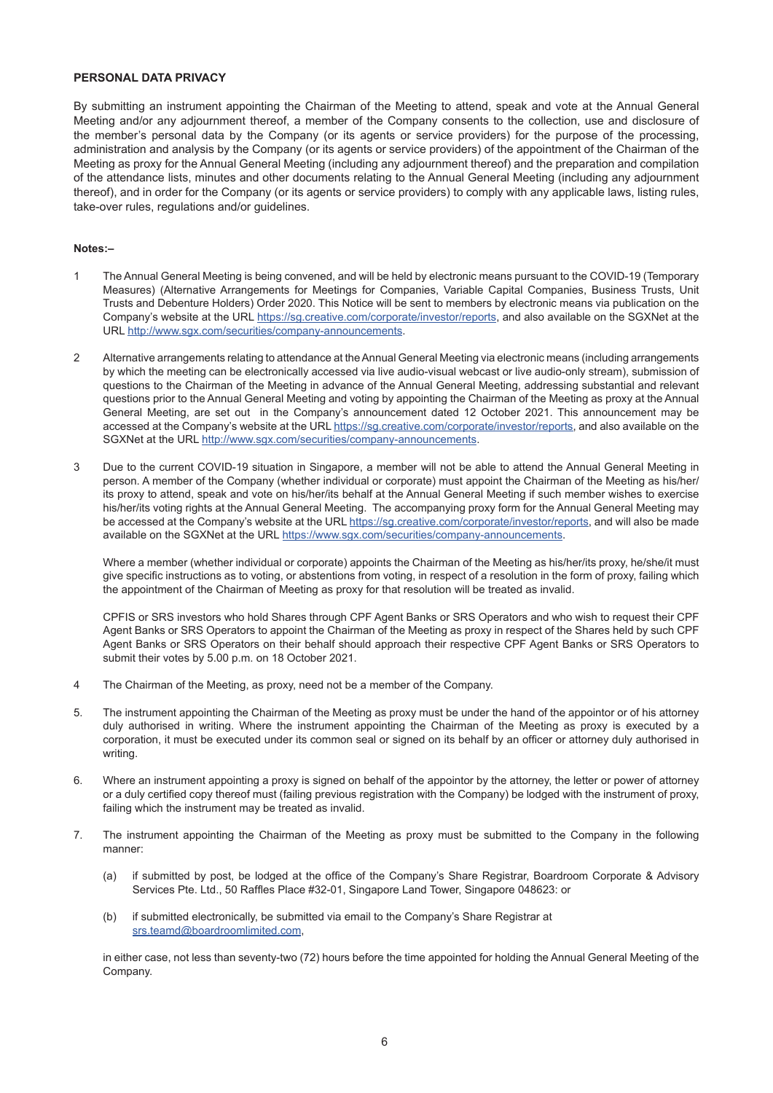#### **PERSONAL DATA PRIVACY**

By submitting an instrument appointing the Chairman of the Meeting to attend, speak and vote at the Annual General Meeting and/or any adjournment thereof, a member of the Company consents to the collection, use and disclosure of the member's personal data by the Company (or its agents or service providers) for the purpose of the processing, administration and analysis by the Company (or its agents or service providers) of the appointment of the Chairman of the Meeting as proxy for the Annual General Meeting (including any adjournment thereof) and the preparation and compilation of the attendance lists, minutes and other documents relating to the Annual General Meeting (including any adjournment thereof), and in order for the Company (or its agents or service providers) to comply with any applicable laws, listing rules, take-over rules, regulations and/or guidelines.

#### **Notes:–**

- 1 The Annual General Meeting is being convened, and will be held by electronic means pursuant to the COVID-19 (Temporary Measures) (Alternative Arrangements for Meetings for Companies, Variable Capital Companies, Business Trusts, Unit Trusts and Debenture Holders) Order 2020. This Notice will be sent to members by electronic means via publication on the Company's website at the URL https://sg.creative.com/corporate/investor/reports, and also available on the SGXNet at the URL http://www.sgx.com/securities/company-announcements.
- 2 Alternative arrangements relating to attendance at the Annual General Meeting via electronic means (including arrangements by which the meeting can be electronically accessed via live audio-visual webcast or live audio-only stream), submission of questions to the Chairman of the Meeting in advance of the Annual General Meeting, addressing substantial and relevant questions prior to the Annual General Meeting and voting by appointing the Chairman of the Meeting as proxy at the Annual General Meeting, are set out in the Company's announcement dated 12 October 2021. This announcement may be accessed at the Company's website at the URL https://sg.creative.com/corporate/investor/reports, and also available on the SGXNet at the URL http://www.sqx.com/securities/company-announcements.
- 3 Due to the current COVID-19 situation in Singapore, a member will not be able to attend the Annual General Meeting in person. A member of the Company (whether individual or corporate) must appoint the Chairman of the Meeting as his/her/ its proxy to attend, speak and vote on his/her/its behalf at the Annual General Meeting if such member wishes to exercise his/her/its voting rights at the Annual General Meeting. The accompanying proxy form for the Annual General Meeting may be accessed at the Company's website at the URL https://sg.creative.com/corporate/investor/reports, and will also be made available on the SGXNet at the URL https://www.sgx.com/securities/company-announcements.

Where a member (whether individual or corporate) appoints the Chairman of the Meeting as his/her/its proxy, he/she/it must give specific instructions as to voting, or abstentions from voting, in respect of a resolution in the form of proxy, failing which the appointment of the Chairman of Meeting as proxy for that resolution will be treated as invalid.

CPFIS or SRS investors who hold Shares through CPF Agent Banks or SRS Operators and who wish to request their CPF Agent Banks or SRS Operators to appoint the Chairman of the Meeting as proxy in respect of the Shares held by such CPF Agent Banks or SRS Operators on their behalf should approach their respective CPF Agent Banks or SRS Operators to submit their votes by 5.00 p.m. on 18 October 2021.

- 4 The Chairman of the Meeting, as proxy, need not be a member of the Company.
- 5. The instrument appointing the Chairman of the Meeting as proxy must be under the hand of the appointor or of his attorney duly authorised in writing. Where the instrument appointing the Chairman of the Meeting as proxy is executed by a corporation, it must be executed under its common seal or signed on its behalf by an officer or attorney duly authorised in writing.
- 6. Where an instrument appointing a proxy is signed on behalf of the appointor by the attorney, the letter or power of attorney or a duly certified copy thereof must (failing previous registration with the Company) be lodged with the instrument of proxy, failing which the instrument may be treated as invalid.
- 7. The instrument appointing the Chairman of the Meeting as proxy must be submitted to the Company in the following manner:
	- (a) if submitted by post, be lodged at the office of the Company's Share Registrar, Boardroom Corporate & Advisory Services Pte. Ltd., 50 Raffles Place #32-01, Singapore Land Tower, Singapore 048623: or
	- (b) if submitted electronically, be submitted via email to the Company's Share Registrar at srs.teamd@boardroomlimited.com,

in either case, not less than seventy-two (72) hours before the time appointed for holding the Annual General Meeting of the Company.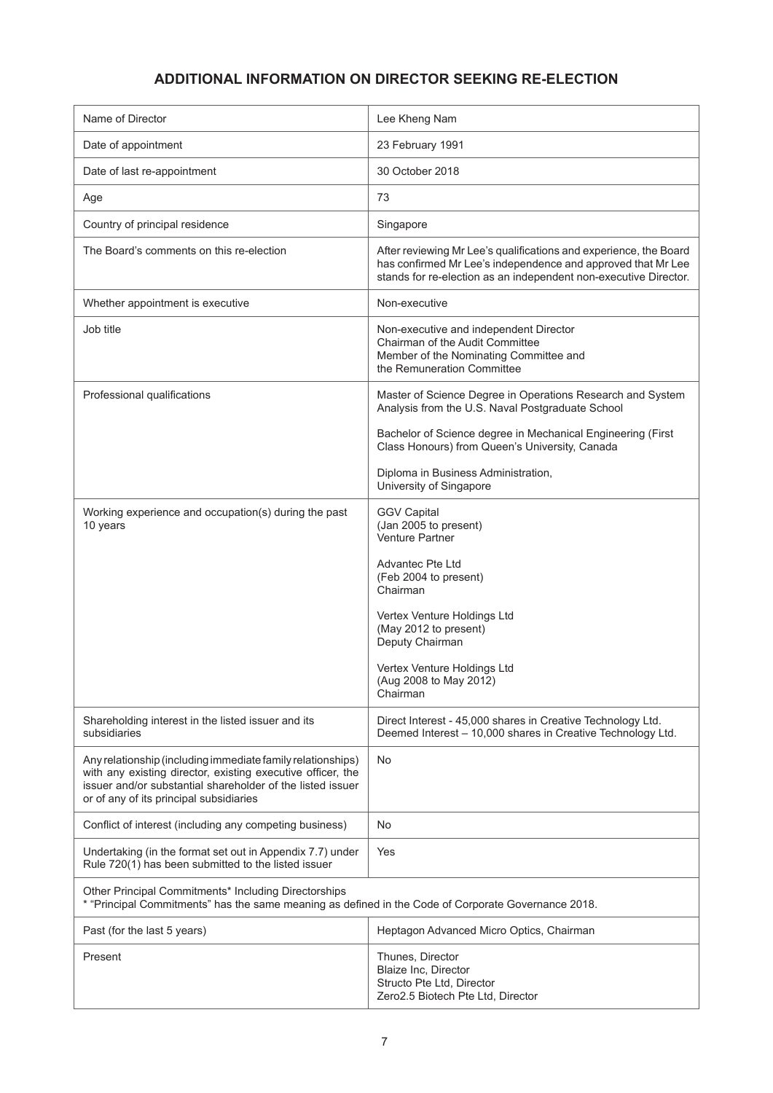## **ADDITIONAL INFORMATION ON DIRECTOR SEEKING RE-ELECTION**

| Name of Director                                                                                                                                                                                                                    | Lee Kheng Nam                                                                                                                                                                                         |  |
|-------------------------------------------------------------------------------------------------------------------------------------------------------------------------------------------------------------------------------------|-------------------------------------------------------------------------------------------------------------------------------------------------------------------------------------------------------|--|
| Date of appointment                                                                                                                                                                                                                 | 23 February 1991                                                                                                                                                                                      |  |
| Date of last re-appointment                                                                                                                                                                                                         | 30 October 2018                                                                                                                                                                                       |  |
| Age                                                                                                                                                                                                                                 | 73                                                                                                                                                                                                    |  |
| Country of principal residence                                                                                                                                                                                                      | Singapore                                                                                                                                                                                             |  |
| The Board's comments on this re-election                                                                                                                                                                                            | After reviewing Mr Lee's qualifications and experience, the Board<br>has confirmed Mr Lee's independence and approved that Mr Lee<br>stands for re-election as an independent non-executive Director. |  |
| Whether appointment is executive                                                                                                                                                                                                    | Non-executive                                                                                                                                                                                         |  |
| Job title                                                                                                                                                                                                                           | Non-executive and independent Director<br>Chairman of the Audit Committee<br>Member of the Nominating Committee and<br>the Remuneration Committee                                                     |  |
| Professional qualifications                                                                                                                                                                                                         | Master of Science Degree in Operations Research and System<br>Analysis from the U.S. Naval Postgraduate School                                                                                        |  |
|                                                                                                                                                                                                                                     | Bachelor of Science degree in Mechanical Engineering (First<br>Class Honours) from Queen's University, Canada                                                                                         |  |
|                                                                                                                                                                                                                                     | Diploma in Business Administration,<br>University of Singapore                                                                                                                                        |  |
| Working experience and occupation(s) during the past<br>10 years                                                                                                                                                                    | <b>GGV Capital</b><br>(Jan 2005 to present)<br>Venture Partner                                                                                                                                        |  |
|                                                                                                                                                                                                                                     | Advantec Pte Ltd<br>(Feb 2004 to present)<br>Chairman                                                                                                                                                 |  |
|                                                                                                                                                                                                                                     | Vertex Venture Holdings Ltd<br>(May 2012 to present)<br>Deputy Chairman                                                                                                                               |  |
|                                                                                                                                                                                                                                     | Vertex Venture Holdings Ltd<br>(Aug 2008 to May 2012)<br>Chairman                                                                                                                                     |  |
| Shareholding interest in the listed issuer and its<br>subsidiaries                                                                                                                                                                  | Direct Interest - 45,000 shares in Creative Technology Ltd.<br>Deemed Interest - 10,000 shares in Creative Technology Ltd.                                                                            |  |
| Any relationship (including immediate family relationships)<br>with any existing director, existing executive officer, the<br>issuer and/or substantial shareholder of the listed issuer<br>or of any of its principal subsidiaries | No                                                                                                                                                                                                    |  |
| Conflict of interest (including any competing business)                                                                                                                                                                             | No                                                                                                                                                                                                    |  |
| Undertaking (in the format set out in Appendix 7.7) under<br>Rule 720(1) has been submitted to the listed issuer                                                                                                                    | Yes                                                                                                                                                                                                   |  |
| Other Principal Commitments* Including Directorships<br>* "Principal Commitments" has the same meaning as defined in the Code of Corporate Governance 2018.                                                                         |                                                                                                                                                                                                       |  |
| Past (for the last 5 years)                                                                                                                                                                                                         | Heptagon Advanced Micro Optics, Chairman                                                                                                                                                              |  |
| Present                                                                                                                                                                                                                             | Thunes, Director<br>Blaize Inc, Director<br>Structo Pte Ltd, Director<br>Zero2.5 Biotech Pte Ltd, Director                                                                                            |  |